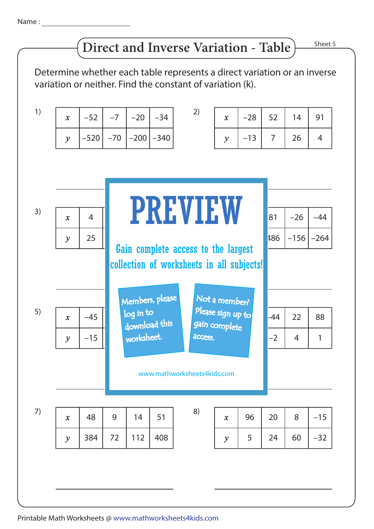## **Direct and Inverse Variation - Table**

Sheet 5

Determine whether each table represents a direct variation or an inverse variation or neither. Find the constant of variation (k).

| 1) | $\mathbf{x}$     | $-52$          | $-7$  | $-20$                                                                            | $-34$  | 2)                                 | $\boldsymbol{x}$           | $-28$ | 52             | 14     | 91             |
|----|------------------|----------------|-------|----------------------------------------------------------------------------------|--------|------------------------------------|----------------------------|-------|----------------|--------|----------------|
|    | $\mathcal{Y}$    | $-520$         | $-70$ | $-200$                                                                           | $-340$ |                                    | $\mathcal{Y}$              | $-13$ | $\overline{7}$ | 26     | $\overline{4}$ |
|    |                  |                |       |                                                                                  |        |                                    |                            |       |                |        |                |
|    |                  |                |       |                                                                                  |        |                                    |                            |       |                |        |                |
| 3) |                  |                |       | <b>PREVIEW</b>                                                                   |        |                                    |                            |       |                |        |                |
|    | $\mathbf{x}$     | $\overline{4}$ |       |                                                                                  |        |                                    |                            |       | 81             | $-26$  | $-44$          |
|    | $\mathcal{Y}$    | 25             |       | Gain complete access to the largest<br>collection of worksheets in all subjects! |        |                                    |                            |       |                | $-156$ | $-264$         |
|    |                  |                |       |                                                                                  |        |                                    |                            |       |                |        |                |
|    |                  |                |       |                                                                                  |        |                                    |                            |       |                |        |                |
| 5) |                  |                |       | Members, please<br>Not a member?                                                 |        |                                    |                            |       |                |        |                |
|    | $\mathbf{x}$     | $-45$          |       | log in to<br>download this                                                       |        | Please sign up to<br>gain complete |                            |       | -44            | 22     | 88             |
|    | $\mathcal{Y}$    | $-15$          |       | worksheet.                                                                       |        | access.                            |                            |       | $-2$           | 4      | $\mathbf{1}$   |
|    |                  |                |       |                                                                                  |        |                                    |                            |       |                |        |                |
|    |                  |                |       |                                                                                  |        | www.mathworksheets4kids.com        |                            |       |                |        |                |
|    |                  |                |       |                                                                                  |        |                                    |                            |       |                |        |                |
| 7) | $\boldsymbol{x}$ | 48             | 9     | 14                                                                               | 51     | 8)                                 | $\boldsymbol{\mathcal{X}}$ | 96    | 20             | 8      | $-15$          |
|    | $\mathcal{Y}$    | 384            | 72    | 112                                                                              | 408    |                                    | $\mathcal{Y}$              | 5     | 24             | 60     | $-32$          |
|    |                  |                |       |                                                                                  |        |                                    |                            |       |                |        |                |
|    |                  |                |       |                                                                                  |        |                                    |                            |       |                |        |                |

Printable Math Worksheets @ www.mathworksheets4kids.com